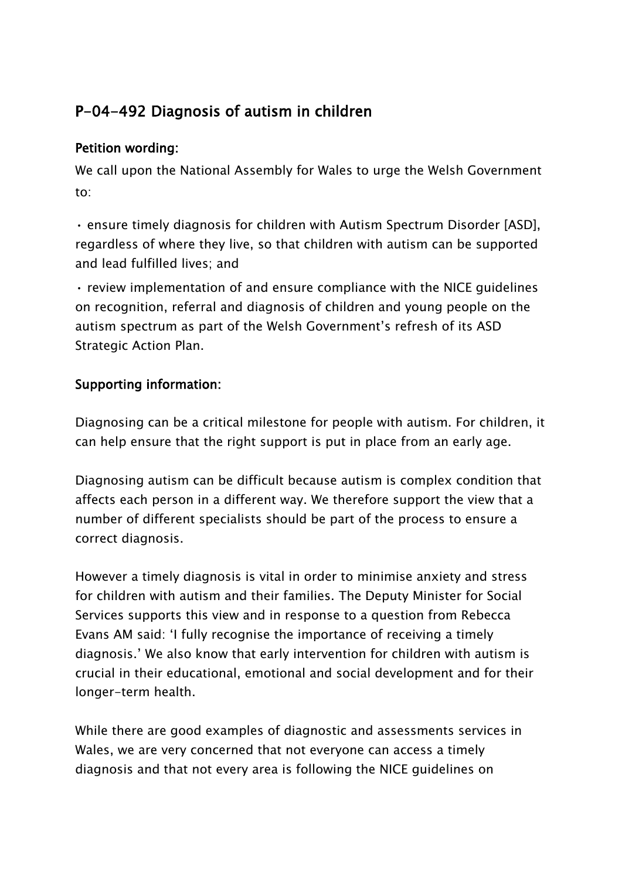## **P-04-492 Diagnosis of autism in children**

## **Petition wording:**

We call upon the National Assembly for Wales to urge the Welsh Government to:

• ensure timely diagnosis for children with Autism Spectrum Disorder [ASD], regardless of where they live, so that children with autism can be supported and lead fulfilled lives; and

• review implementation of and ensure compliance with the NICE guidelines on recognition, referral and diagnosis of children and young people on the autism spectrum as part of the Welsh Government's refresh of its ASD Strategic Action Plan.

## **Supporting information:**

Diagnosing can be a critical milestone for people with autism. For children, it can help ensure that the right support is put in place from an early age.

Diagnosing autism can be difficult because autism is complex condition that affects each person in a different way. We therefore support the view that a number of different specialists should be part of the process to ensure a correct diagnosis.

However a timely diagnosis is vital in order to minimise anxiety and stress for children with autism and their families. The Deputy Minister for Social Services supports this view and in response to a question from Rebecca Evans AM said: 'I fully recognise the importance of receiving a timely diagnosis.' We also know that early intervention for children with autism is crucial in their educational, emotional and social development and for their longer-term health.

While there are good examples of diagnostic and assessments services in Wales, we are very concerned that not everyone can access a timely diagnosis and that not every area is following the NICE guidelines on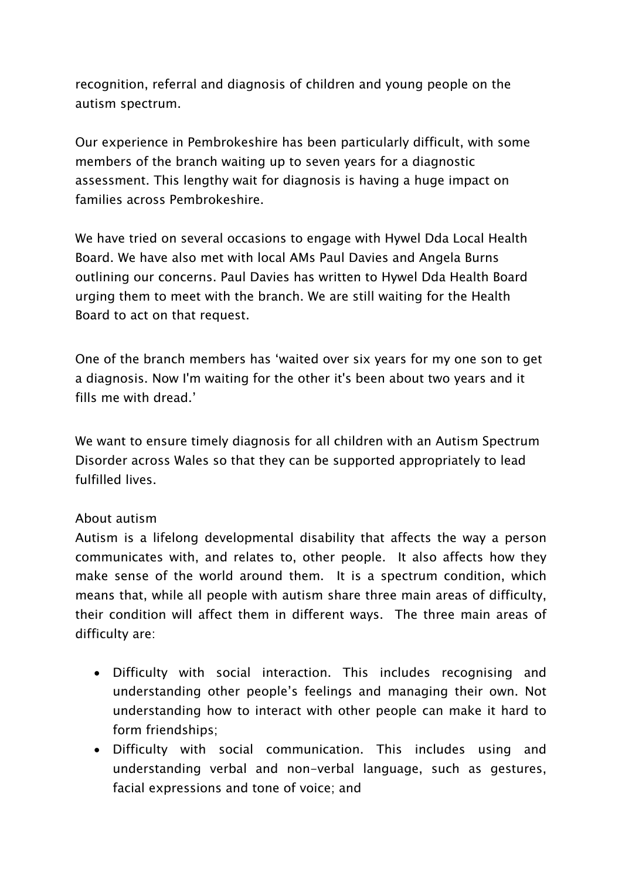recognition, referral and diagnosis of children and young people on the autism spectrum.

Our experience in Pembrokeshire has been particularly difficult, with some members of the branch waiting up to seven years for a diagnostic assessment. This lengthy wait for diagnosis is having a huge impact on families across Pembrokeshire.

We have tried on several occasions to engage with Hywel Dda Local Health Board. We have also met with local AMs Paul Davies and Angela Burns outlining our concerns. Paul Davies has written to Hywel Dda Health Board urging them to meet with the branch. We are still waiting for the Health Board to act on that request.

One of the branch members has 'waited over six years for my one son to get a diagnosis. Now I'm waiting for the other it's been about two years and it fills me with dread.'

We want to ensure timely diagnosis for all children with an Autism Spectrum Disorder across Wales so that they can be supported appropriately to lead fulfilled lives.

## About autism

Autism is a lifelong developmental disability that affects the way a person communicates with, and relates to, other people. It also affects how they make sense of the world around them. It is a spectrum condition, which means that, while all people with autism share three main areas of difficulty, their condition will affect them in different ways. The three main areas of difficulty are:

- Difficulty with social interaction. This includes recognising and understanding other people's feelings and managing their own. Not understanding how to interact with other people can make it hard to form friendships;
- Difficulty with social communication. This includes using and understanding verbal and non-verbal language, such as gestures, facial expressions and tone of voice; and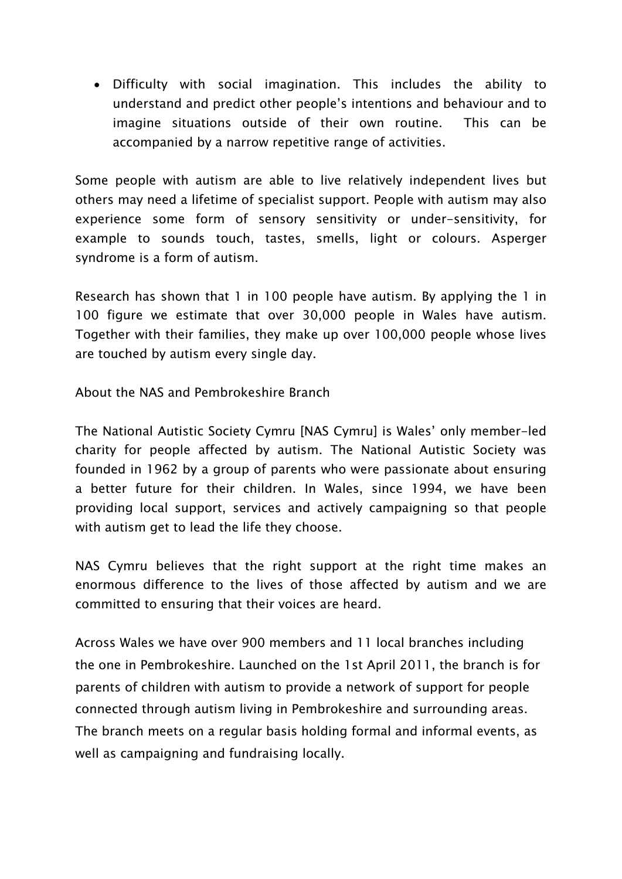Difficulty with social imagination. This includes the ability to understand and predict other people's intentions and behaviour and to imagine situations outside of their own routine. This can be accompanied by a narrow repetitive range of activities.

Some people with autism are able to live relatively independent lives but others may need a lifetime of specialist support. People with autism may also experience some form of sensory sensitivity or under-sensitivity, for example to sounds touch, tastes, smells, light or colours. Asperger syndrome is a form of autism.

Research has shown that 1 in 100 people have autism. By applying the 1 in 100 figure we estimate that over 30,000 people in Wales have autism. Together with their families, they make up over 100,000 people whose lives are touched by autism every single day.

About the NAS and Pembrokeshire Branch

The National Autistic Society Cymru [NAS Cymru] is Wales' only member-led charity for people affected by autism. The National Autistic Society was founded in 1962 by a group of parents who were passionate about ensuring a better future for their children. In Wales, since 1994, we have been providing local support, services and actively campaigning so that people with autism get to lead the life they choose.

NAS Cymru believes that the right support at the right time makes an enormous difference to the lives of those affected by autism and we are committed to ensuring that their voices are heard.

Across Wales we have over 900 members and 11 local branches including the one in Pembrokeshire. Launched on the 1st April 2011, the branch is for parents of children with autism to provide a network of support for people connected through autism living in Pembrokeshire and surrounding areas. The branch meets on a regular basis holding formal and informal events, as well as campaigning and fundraising locally.